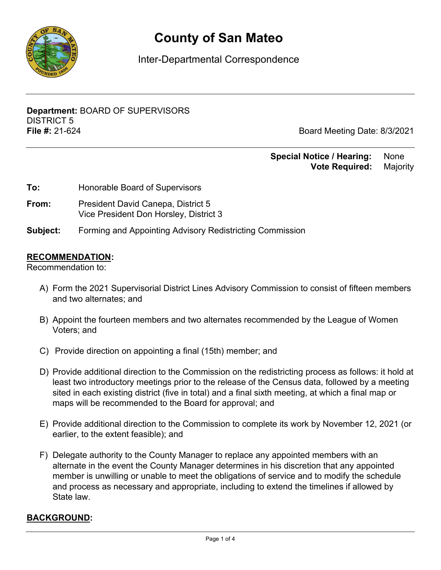

# **County of San Mateo**

Inter-Departmental Correspondence

**Department:** BOARD OF SUPERVISORS DISTRICT 5 **File #:** 21-624 Board Meeting Date: 8/3/2021

## **Special Notice / Hearing: None Vote Required:** Majority

| Honorable Board of Supervisors |
|--------------------------------|
|                                |

- **From:** President David Canepa, District 5 Vice President Don Horsley, District 3
- **Subject:** Forming and Appointing Advisory Redistricting Commission

#### **RECOMMENDATION:**

Recommendation to:

- A) Form the 2021 Supervisorial District Lines Advisory Commission to consist of fifteen members and two alternates; and
- B) Appoint the fourteen members and two alternates recommended by the League of Women Voters; and
- C) Provide direction on appointing a final (15th) member; and
- D) Provide additional direction to the Commission on the redistricting process as follows: it hold at least two introductory meetings prior to the release of the Census data, followed by a meeting sited in each existing district (five in total) and a final sixth meeting, at which a final map or maps will be recommended to the Board for approval; and
- E) Provide additional direction to the Commission to complete its work by November 12, 2021 (or earlier, to the extent feasible); and
- F) Delegate authority to the County Manager to replace any appointed members with an alternate in the event the County Manager determines in his discretion that any appointed member is unwilling or unable to meet the obligations of service and to modify the schedule and process as necessary and appropriate, including to extend the timelines if allowed by State law.

#### **BACKGROUND:**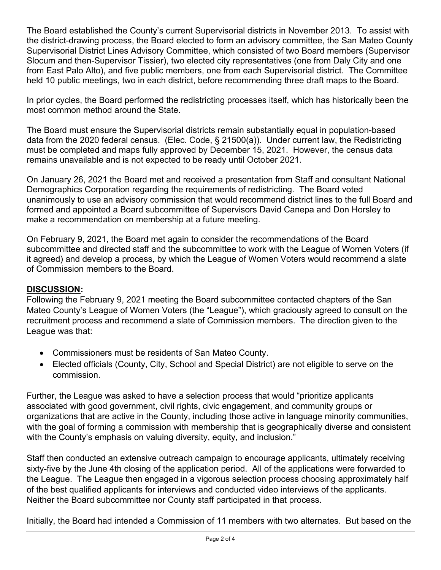The Board established the County's current Supervisorial districts in November 2013. To assist with the district-drawing process, the Board elected to form an advisory committee, the San Mateo County Supervisorial District Lines Advisory Committee, which consisted of two Board members (Supervisor Slocum and then-Supervisor Tissier), two elected city representatives (one from Daly City and one from East Palo Alto), and five public members, one from each Supervisorial district. The Committee held 10 public meetings, two in each district, before recommending three draft maps to the Board.

In prior cycles, the Board performed the redistricting processes itself, which has historically been the most common method around the State.

The Board must ensure the Supervisorial districts remain substantially equal in population-based data from the 2020 federal census. (Elec. Code, § 21500(a)). Under current law, the Redistricting must be completed and maps fully approved by December 15, 2021. However, the census data remains unavailable and is not expected to be ready until October 2021.

On January 26, 2021 the Board met and received a presentation from Staff and consultant National Demographics Corporation regarding the requirements of redistricting. The Board voted unanimously to use an advisory commission that would recommend district lines to the full Board and formed and appointed a Board subcommittee of Supervisors David Canepa and Don Horsley to make a recommendation on membership at a future meeting.

On February 9, 2021, the Board met again to consider the recommendations of the Board subcommittee and directed staff and the subcommittee to work with the League of Women Voters (if it agreed) and develop a process, by which the League of Women Voters would recommend a slate of Commission members to the Board.

### **DISCUSSION:**

Following the February 9, 2021 meeting the Board subcommittee contacted chapters of the San Mateo County's League of Women Voters (the "League"), which graciously agreed to consult on the recruitment process and recommend a slate of Commission members. The direction given to the League was that:

- · Commissioners must be residents of San Mateo County.
- · Elected officials (County, City, School and Special District) are not eligible to serve on the commission.

Further, the League was asked to have a selection process that would "prioritize applicants associated with good government, civil rights, civic engagement, and community groups or organizations that are active in the County, including those active in language minority communities, with the goal of forming a commission with membership that is geographically diverse and consistent with the County's emphasis on valuing diversity, equity, and inclusion."

Staff then conducted an extensive outreach campaign to encourage applicants, ultimately receiving sixty-five by the June 4th closing of the application period. All of the applications were forwarded to the League. The League then engaged in a vigorous selection process choosing approximately half of the best qualified applicants for interviews and conducted video interviews of the applicants. Neither the Board subcommittee nor County staff participated in that process.

Initially, the Board had intended a Commission of 11 members with two alternates. But based on the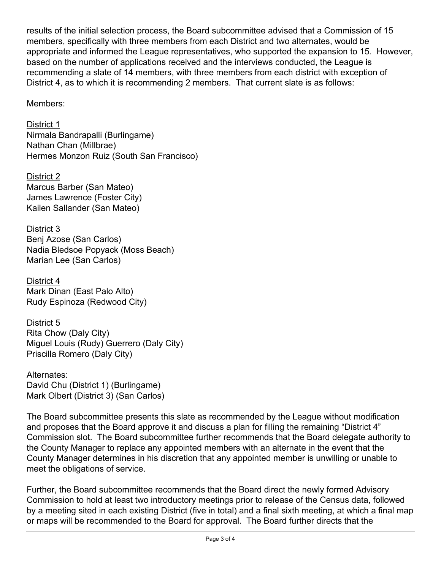results of the initial selection process, the Board subcommittee advised that a Commission of 15 members, specifically with three members from each District and two alternates, would be appropriate and informed the League representatives, who supported the expansion to 15. However, based on the number of applications received and the interviews conducted, the League is recommending a slate of 14 members, with three members from each district with exception of District 4, as to which it is recommending 2 members. That current slate is as follows:

Members:

District 1 Nirmala Bandrapalli (Burlingame) Nathan Chan (Millbrae) Hermes Monzon Ruiz (South San Francisco)

District 2 Marcus Barber (San Mateo) James Lawrence (Foster City) Kailen Sallander (San Mateo)

District 3 Benj Azose (San Carlos) Nadia Bledsoe Popyack (Moss Beach) Marian Lee (San Carlos)

District 4 Mark Dinan (East Palo Alto) Rudy Espinoza (Redwood City)

District 5 Rita Chow (Daly City) Miguel Louis (Rudy) Guerrero (Daly City) Priscilla Romero (Daly City)

Alternates: David Chu (District 1) (Burlingame) Mark Olbert (District 3) (San Carlos)

The Board subcommittee presents this slate as recommended by the League without modification and proposes that the Board approve it and discuss a plan for filling the remaining "District 4" Commission slot. The Board subcommittee further recommends that the Board delegate authority to the County Manager to replace any appointed members with an alternate in the event that the County Manager determines in his discretion that any appointed member is unwilling or unable to meet the obligations of service.

Further, the Board subcommittee recommends that the Board direct the newly formed Advisory Commission to hold at least two introductory meetings prior to release of the Census data, followed by a meeting sited in each existing District (five in total) and a final sixth meeting, at which a final map or maps will be recommended to the Board for approval. The Board further directs that the